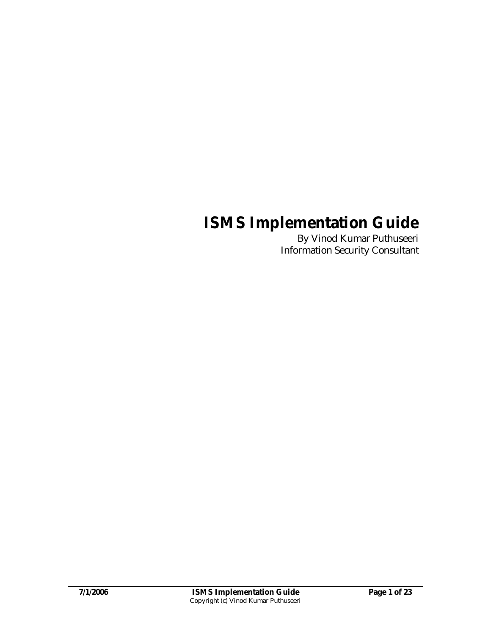# **ISMS Implementation Guide**

 By Vinod Kumar Puthuseeri Information Security Consultant

| 7/1/2006 | <b>ISMS Implementation Guide</b>     | Page 1 of 23 |
|----------|--------------------------------------|--------------|
|          | Copyright (c) Vinod Kumar Puthuseeri |              |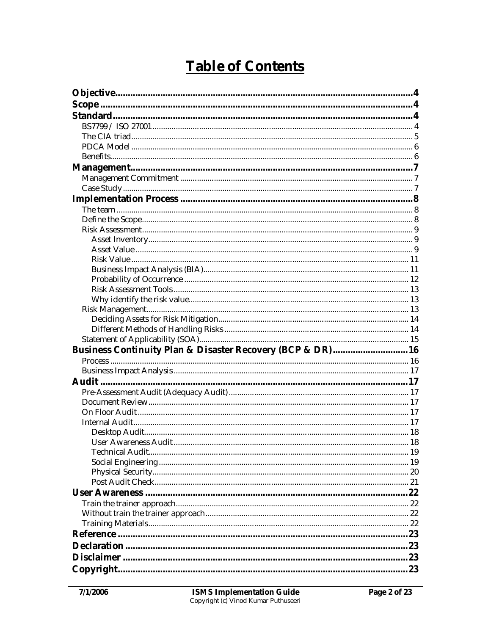# Table of Contents

| Business Continuity Plan & Disaster Recovery (BCP & DR)16 |  |
|-----------------------------------------------------------|--|
|                                                           |  |
|                                                           |  |
|                                                           |  |
|                                                           |  |
|                                                           |  |
|                                                           |  |
|                                                           |  |
|                                                           |  |
|                                                           |  |
|                                                           |  |
|                                                           |  |
|                                                           |  |
|                                                           |  |
|                                                           |  |
|                                                           |  |
|                                                           |  |
|                                                           |  |
|                                                           |  |
|                                                           |  |
|                                                           |  |
|                                                           |  |
|                                                           |  |

| 7/1/2006 | <b>ISMS Implementation Guide</b>     | Page 2 of 23 |
|----------|--------------------------------------|--------------|
|          | Copyright (c) Vinod Kumar Puthuseeri |              |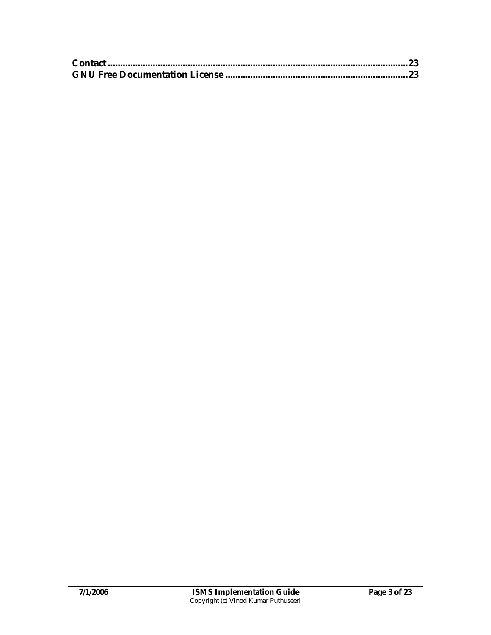| 7/1/2006 | <b>ISMS Implementation Guide</b>     | Page 3 of 23 |
|----------|--------------------------------------|--------------|
|          | Copyright (c) Vinod Kumar Puthuseeri |              |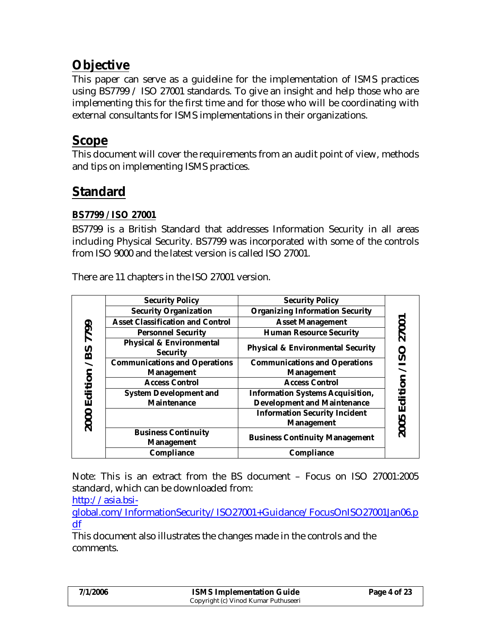# **Objective**

This paper can serve as a guideline for the implementation of ISMS practices using BS7799 / ISO 27001 standards. To give an insight and help those who are implementing this for the first time and for those who will be coordinating with external consultants for ISMS implementations in their organizations.

# **Scope**

This document will cover the requirements from an audit point of view, methods and tips on implementing ISMS practices.

# **Standard**

## **BS7799 / ISO 27001**

BS7799 is a British Standard that addresses Information Security in all areas including Physical Security. BS7799 was incorporated with some of the controls from ISO 9000 and the latest version is called ISO 27001.

There are 11 chapters in the ISO 27001 version.

|         | Security Policy                          | Security Policy                        |                          |
|---------|------------------------------------------|----------------------------------------|--------------------------|
|         | Security Organization                    | <b>Organizing Information Security</b> |                          |
|         | Asset Classification and Control         | <b>Asset Management</b>                |                          |
| 7799    | Personnel Security                       | <b>Human Resource Security</b>         | 27001                    |
| /BS     | Physical & Environmental<br>Security     | Physical & Environmental Security      | O                        |
|         | <b>Communications and Operations</b>     | <b>Communications and Operations</b>   | $\overline{S}$           |
|         | Management                               | Management                             | $\overline{\phantom{0}}$ |
| Edition | <b>Access Control</b>                    | <b>Access Control</b>                  | ition                    |
|         | System Development and                   | Information Systems Acquisition,       |                          |
|         | Maintenance                              | Development and Maintenance            | Ō                        |
|         |                                          | <b>Information Security Incident</b>   | ш                        |
| 2000    |                                          | Management                             |                          |
|         | <b>Business Continuity</b><br>Management | <b>Business Continuity Management</b>  | 2005                     |
|         | Compliance                               | Compliance                             |                          |

Note: This is an extract from the BS document – Focus on ISO 27001:2005 standard, which can be downloaded from:

http://asia.bsi-

global.com/InformationSecurity/ISO27001+Guidance/FocusOnISO27001Jan06.p df

This document also illustrates the changes made in the controls and the comments.

| 7/1/2006 | <b>ISMS Implementation Guide</b>     | Page 4 of 23 |
|----------|--------------------------------------|--------------|
|          | Copyright (c) Vinod Kumar Puthuseeri |              |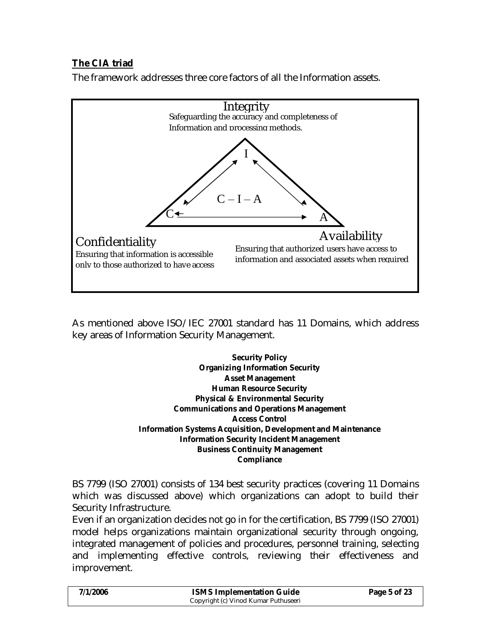# **The CIA triad**

The framework addresses three core factors of all the Information assets.



As mentioned above ISO/IEC 27001 standard has 11 Domains, which address key areas of Information Security Management.

> **Security Policy Organizing Information Security Asset Management Human Resource Security Physical & Environmental Security Communications and Operations Management Access Control Information Systems Acquisition, Development and Maintenance Information Security Incident Management Business Continuity Management Compliance**

BS 7799 (ISO 27001) consists of 134 best security practices (covering 11 Domains which was discussed above) which organizations can adopt to build their Security Infrastructure.

Even if an organization decides not go in for the certification, BS 7799 (ISO 27001) model helps organizations maintain organizational security through ongoing, integrated management of policies and procedures, personnel training, selecting and implementing effective controls, reviewing their effectiveness and improvement.

| 7/1/2006 | <b>ISMS Implementation Guide</b>     | Page 5 of 23 |
|----------|--------------------------------------|--------------|
|          | Copyright (c) Vinod Kumar Puthuseeri |              |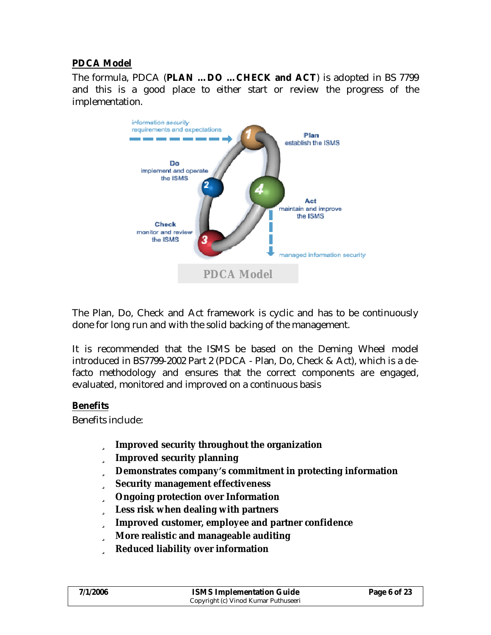#### **PDCA Model**

The formula, PDCA (**PLAN …DO …CHECK and ACT**) is adopted in BS 7799 and this is a good place to either start or review the progress of the implementation.



The Plan, Do, Check and Act framework is cyclic and has to be continuously done for long run and with the solid backing of the management.

It is recommended that the ISMS be based on the Deming Wheel model introduced in BS7799-2002 Part 2 (PDCA - Plan, Do, Check & Act), which is a defacto methodology and ensures that the correct components are engaged, evaluated, monitored and improved on a continuous basis

#### **Benefits**

Benefits include:

- ü **Improved security throughout the organization**
- ü **Improved security planning**
- ü **Demonstrates companyȂs commitment in protecting information**
- ü **Security management effectiveness**
- ü **Ongoing protection over Information**
- ü **Less risk when dealing with partners**
- ü **Improved customer, employee and partner confidence**
- ü **More realistic and manageable auditing**
- ü **Reduced liability over information**

| 7/1/2006 | <b>ISMS Implementation Guide</b>     | Page 6 of 23 |
|----------|--------------------------------------|--------------|
|          | Copyright (c) Vinod Kumar Puthuseeri |              |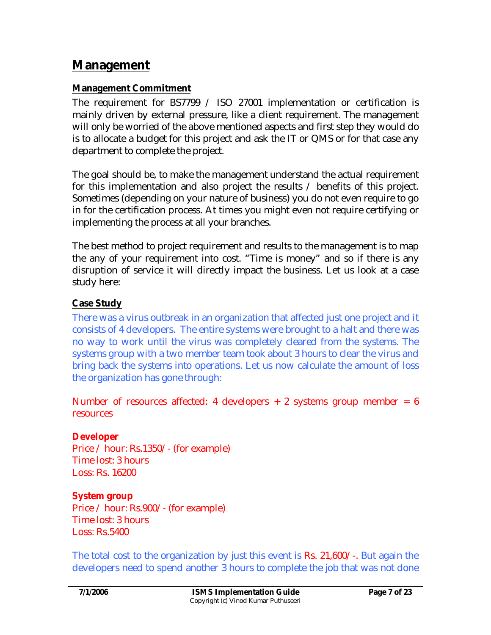# **Management**

## **Management Commitment**

The requirement for BS7799 / ISO 27001 implementation or certification is mainly driven by external pressure, like a client requirement. The management will only be worried of the above mentioned aspects and first step they would do is to allocate a budget for this project and ask the IT or QMS or for that case any department to complete the project.

The goal should be, to make the management understand the actual requirement for this implementation and also project the results / benefits of this project. Sometimes (depending on your nature of business) you do not even require to go in for the certification process. At times you might even not require certifying or implementing the process at all your branches.

The best method to project requirement and results to the management is to map the any of your requirement into cost. "Time is money" and so if there is any disruption of service it will directly impact the business. Let us look at a case study here:

### **Case Study**

There was a virus outbreak in an organization that affected just one project and it consists of 4 developers. The entire systems were brought to a halt and there was no way to work until the virus was completely cleared from the systems. The systems group with a two member team took about 3 hours to clear the virus and bring back the systems into operations. Let us now calculate the amount of loss the organization has gone through:

Number of resources affected: 4 developers  $+2$  systems group member = 6 **resources** 

**Developer** Price / hour: Rs.1350/- (for example) Time lost: 3 hours Loss: Rs. 16200

**System group** Price / hour: Rs.900/- (for example) Time lost: 3 hours Loss: Rs.5400

The total cost to the organization by just this event is Rs. 21,600/-. But again the developers need to spend another 3 hours to complete the job that was not done

| 7/1/2006 | <b>ISMS Implementation Guide</b>     | Page 7 of 23 |
|----------|--------------------------------------|--------------|
|          | Copyright (c) Vinod Kumar Puthuseeri |              |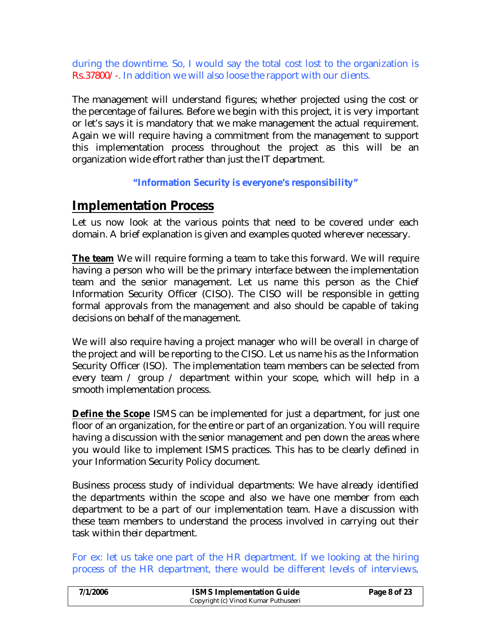during the downtime. So, I would say the total cost lost to the organization is Rs.37800/-. In addition we will also loose the rapport with our clients.

The management will understand figures; whether projected using the cost or the percentage of failures. Before we begin with this project, it is very important or let's says it is mandatory that we make management the actual requirement. Again we will require having a commitment from the management to support this implementation process throughout the project as this will be an organization wide effort rather than just the IT department.

### **"Information Security is everyone's responsibility"**

# **Implementation Process**

Let us now look at the various points that need to be covered under each domain. A brief explanation is given and examples quoted wherever necessary.

**The team** We will require forming a team to take this forward. We will require having a person who will be the primary interface between the implementation team and the senior management. Let us name this person as the Chief Information Security Officer (CISO). The CISO will be responsible in getting formal approvals from the management and also should be capable of taking decisions on behalf of the management.

We will also require having a project manager who will be overall in charge of the project and will be reporting to the CISO. Let us name his as the Information Security Officer (ISO). The implementation team members can be selected from every team / group / department within your scope, which will help in a smooth implementation process.

**Define the Scope** ISMS can be implemented for just a department, for just one floor of an organization, for the entire or part of an organization. You will require having a discussion with the senior management and pen down the areas where you would like to implement ISMS practices. This has to be clearly defined in your Information Security Policy document.

Business process study of individual departments: We have already identified the departments within the scope and also we have one member from each department to be a part of our implementation team. Have a discussion with these team members to understand the process involved in carrying out their task within their department.

For ex: let us take one part of the HR department. If we looking at the hiring process of the HR department, there would be different levels of interviews,

| 7/1/2006 | <b>ISMS Implementation Guide</b>     | Page 8 of 23 |
|----------|--------------------------------------|--------------|
|          | Copyright (c) Vinod Kumar Puthuseeri |              |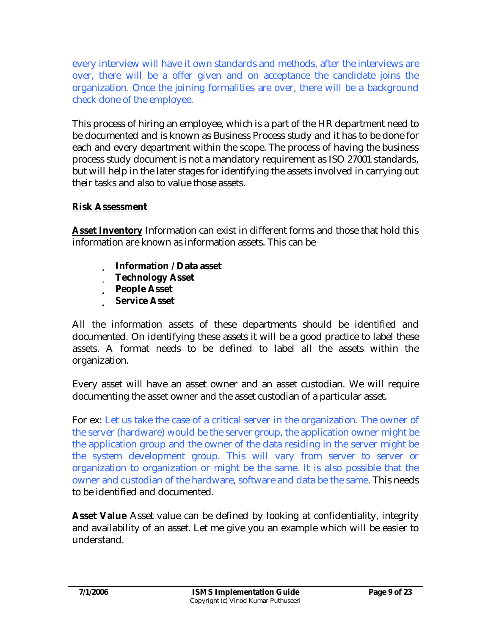every interview will have it own standards and methods, after the interviews are over, there will be a offer given and on acceptance the candidate joins the organization. Once the joining formalities are over, there will be a background check done of the employee.

This process of hiring an employee, which is a part of the HR department need to be documented and is known as Business Process study and it has to be done for each and every department within the scope. The process of having the business process study document is not a mandatory requirement as ISO 27001 standards, but will help in the later stages for identifying the assets involved in carrying out their tasks and also to value those assets.

#### **Risk Assessment**

**Asset Inventory** Information can exist in different forms and those that hold this information are known as information assets. This can be

- ü **Information / Data asset**
- ü **Technology Asset**
- ü **People Asset**
- ü **Service Asset**

All the information assets of these departments should be identified and documented. On identifying these assets it will be a good practice to label these assets. A format needs to be defined to label all the assets within the organization.

Every asset will have an asset owner and an asset custodian. We will require documenting the asset owner and the asset custodian of a particular asset.

For ex: Let us take the case of a critical server in the organization. The owner of the server (hardware) would be the server group, the application owner might be the application group and the owner of the data residing in the server might be the system development group. This will vary from server to server or organization to organization or might be the same. It is also possible that the owner and custodian of the hardware, software and data be the same. This needs to be identified and documented.

**Asset Value** Asset value can be defined by looking at confidentiality, integrity and availability of an asset. Let me give you an example which will be easier to understand.

| 7/1/2006 | <b>ISMS Implementation Guide</b>     | Page 9 of 23 |
|----------|--------------------------------------|--------------|
|          | Copyright (c) Vinod Kumar Puthuseeri |              |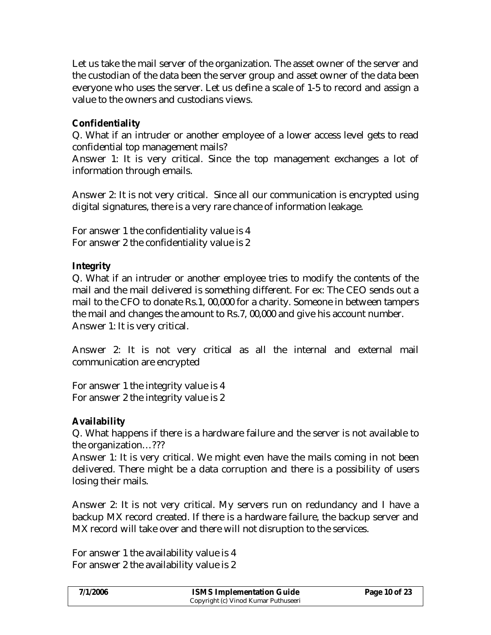Let us take the mail server of the organization. The asset owner of the server and the custodian of the data been the server group and asset owner of the data been everyone who uses the server. Let us define a scale of 1-5 to record and assign a value to the owners and custodians views.

### **Confidentiality**

Q. What if an intruder or another employee of a lower access level gets to read confidential top management mails?

Answer 1: It is very critical. Since the top management exchanges a lot of information through emails.

Answer 2: It is not very critical. Since all our communication is encrypted using digital signatures, there is a very rare chance of information leakage.

For answer 1 the confidentiality value is 4 For answer 2 the confidentiality value is 2

**Integrity**

Q. What if an intruder or another employee tries to modify the contents of the mail and the mail delivered is something different. For ex: The CEO sends out a mail to the CFO to donate Rs.1, 00,000 for a charity. Someone in between tampers the mail and changes the amount to Rs.7, 00,000 and give his account number. Answer 1: It is very critical.

Answer 2: It is not very critical as all the internal and external mail communication are encrypted

For answer 1 the integrity value is 4 For answer 2 the integrity value is 2

**Availability**

Q. What happens if there is a hardware failure and the server is not available to the organization…???

Answer 1: It is very critical. We might even have the mails coming in not been delivered. There might be a data corruption and there is a possibility of users losing their mails.

Answer 2: It is not very critical. My servers run on redundancy and I have a backup MX record created. If there is a hardware failure, the backup server and MX record will take over and there will not disruption to the services.

For answer 1 the availability value is 4 For answer 2 the availability value is 2

| 7/1/2006 | <b>ISMS Implementation Guide</b>     | Page 10 of 23 |
|----------|--------------------------------------|---------------|
|          | Copyright (c) Vinod Kumar Puthuseeri |               |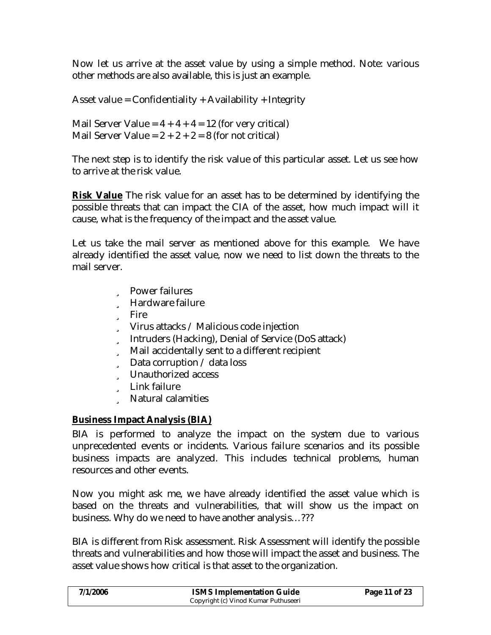Now let us arrive at the asset value by using a simple method. Note: various other methods are also available, this is just an example.

Asset value = Confidentiality + Availability + Integrity

Mail Server Value =  $4 + 4 + 4 = 12$  (for very critical) Mail Server Value =  $2 + 2 + 2 = 8$  (for not critical)

The next step is to identify the risk value of this particular asset. Let us see how to arrive at the risk value.

**Risk Value** The risk value for an asset has to be determined by identifying the possible threats that can impact the CIA of the asset, how much impact will it cause, what is the frequency of the impact and the asset value.

Let us take the mail server as mentioned above for this example. We have already identified the asset value, now we need to list down the threats to the mail server.

- ü Power failures
- ü Hardware failure
- ü Fire
- ü Virus attacks / Malicious code injection
- ü Intruders (Hacking), Denial of Service (DoS attack)
- ü Mail accidentally sent to a different recipient
- ü Data corruption / data loss
- ü Unauthorized access
- ü Link failure
- ü Natural calamities

### **Business Impact Analysis (BIA)**

BIA is performed to analyze the impact on the system due to various unprecedented events or incidents. Various failure scenarios and its possible business impacts are analyzed. This includes technical problems, human resources and other events.

Now you might ask me, we have already identified the asset value which is based on the threats and vulnerabilities, that will show us the impact on business. Why do we need to have another analysis…???

BIA is different from Risk assessment. Risk Assessment will identify the possible threats and vulnerabilities and how those will impact the asset and business. The asset value shows how critical is that asset to the organization.

| 7/1/2006 | <b>ISMS Implementation Guide</b>     | Page 11 of 23 |
|----------|--------------------------------------|---------------|
|          | Copyright (c) Vinod Kumar Puthuseeri |               |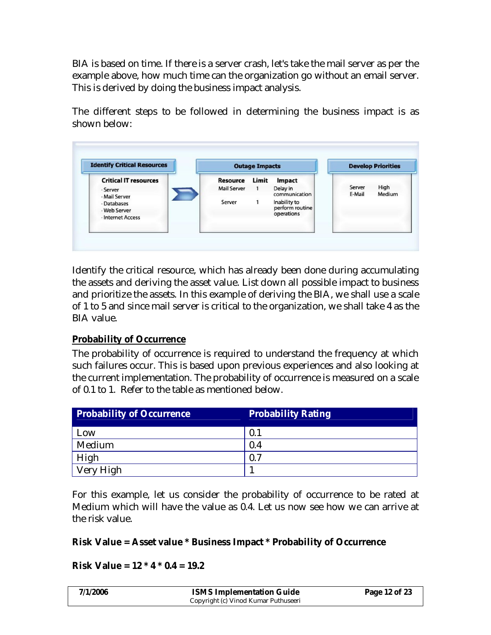BIA is based on time. If there is a server crash, let's take the mail server as per the example above, how much time can the organization go without an email server. This is derived by doing the business impact analysis.

The different steps to be followed in determining the business impact is as shown below:



Identify the critical resource, which has already been done during accumulating the assets and deriving the asset value. List down all possible impact to business and prioritize the assets. In this example of deriving the BIA, we shall use a scale of 1 to 5 and since mail server is critical to the organization, we shall take 4 as the BIA value.

### **Probability of Occurrence**

The probability of occurrence is required to understand the frequency at which such failures occur. This is based upon previous experiences and also looking at the current implementation. The probability of occurrence is measured on a scale of 0.1 to 1. Refer to the table as mentioned below.

| Probability of Occurrence | <b>Probability Rating</b> |
|---------------------------|---------------------------|
| Low                       | 0.1                       |
| Medium                    | 0.4                       |
| High                      | 0.7                       |
| Very High                 |                           |

For this example, let us consider the probability of occurrence to be rated at Medium which will have the value as 0.4. Let us now see how we can arrive at the risk value.

**Risk Value = Asset value \* Business Impact \* Probability of Occurrence**

**Risk Value = 12 \* 4 \* 0.4 = 19.2**

| 7/1/2006 | <b>ISMS Implementation Guide</b>     | Page 12 of 23 |
|----------|--------------------------------------|---------------|
|          | Copyright (c) Vinod Kumar Puthuseeri |               |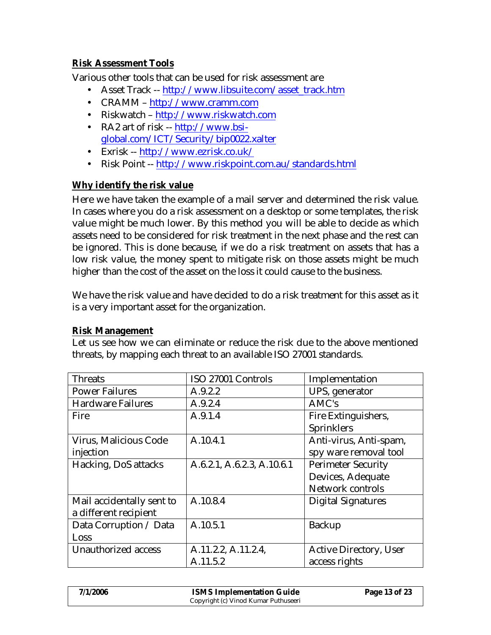### **Risk Assessment Tools**

Various other tools that can be used for risk assessment are

- Asset Track -- http://www.libsuite.com/asset\_track.htm
- CRAMM http://www.cramm.com
- Riskwatch http://www.riskwatch.com
- RA2 art of risk -- http://www.bsiglobal.com/ICT/Security/bip0022.xalter
- Exrisk -- http://www.ezrisk.co.uk/
- Risk Point -- http://www.riskpoint.com.au/standards.html

#### **Why identify the risk value**

Here we have taken the example of a mail server and determined the risk value. In cases where you do a risk assessment on a desktop or some templates, the risk value might be much lower. By this method you will be able to decide as which assets need to be considered for risk treatment in the next phase and the rest can be ignored. This is done because, if we do a risk treatment on assets that has a low risk value, the money spent to mitigate risk on those assets might be much higher than the cost of the asset on the loss it could cause to the business.

We have the risk value and have decided to do a risk treatment for this asset as it is a very important asset for the organization.

#### **Risk Management**

Let us see how we can eliminate or reduce the risk due to the above mentioned threats, by mapping each threat to an available ISO 27001 standards.

| <b>Threats</b>            | ISO 27001 Controls         | Implementation            |
|---------------------------|----------------------------|---------------------------|
| <b>Power Failures</b>     | A.9.2.2                    | UPS, generator            |
| <b>Hardware Failures</b>  | A.9.2.4                    | AMC's                     |
| Fire                      | A.9.1.4                    | Fire Extinguishers,       |
|                           |                            | Sprinklers                |
| Virus, Malicious Code     | A.10.4.1                   | Anti-virus, Anti-spam,    |
| injection                 |                            | spy ware removal tool     |
| Hacking, DoS attacks      | A.6.2.1, A.6.2.3, A.10.6.1 | <b>Perimeter Security</b> |
|                           |                            | Devices, Adequate         |
|                           |                            | Network controls          |
| Mail accidentally sent to | A.10.8.4                   | <b>Digital Signatures</b> |
| a different recipient     |                            |                           |
| Data Corruption / Data    | A.10.5.1                   | <b>Backup</b>             |
| Loss                      |                            |                           |
| Unauthorized access       | A.11.2.2, A.11.2.4,        | Active Directory, User    |
|                           | A.11.5.2                   | access rights             |

| 7/1/2006 | <b>ISMS Implementation Guide</b>     | Page 13 of 23 |
|----------|--------------------------------------|---------------|
|          | Copyright (c) Vinod Kumar Puthuseeri |               |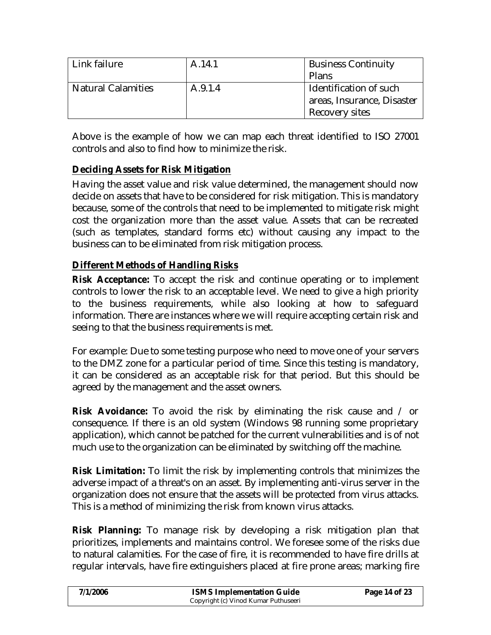| Link failure              | A.14.1  | <b>Business Continuity</b> |  |
|---------------------------|---------|----------------------------|--|
|                           |         | Plans                      |  |
| <b>Natural Calamities</b> | A.9.1.4 | Identification of such     |  |
|                           |         | areas, Insurance, Disaster |  |
|                           |         | Recovery sites             |  |

Above is the example of how we can map each threat identified to ISO 27001 controls and also to find how to minimize the risk.

## **Deciding Assets for Risk Mitigation**

Having the asset value and risk value determined, the management should now decide on assets that have to be considered for risk mitigation. This is mandatory because, some of the controls that need to be implemented to mitigate risk might cost the organization more than the asset value. Assets that can be recreated (such as templates, standard forms etc) without causing any impact to the business can to be eliminated from risk mitigation process.

## **Different Methods of Handling Risks**

**Risk Acceptance:** To accept the risk and continue operating or to implement controls to lower the risk to an acceptable level. We need to give a high priority to the business requirements, while also looking at how to safeguard information. There are instances where we will require accepting certain risk and seeing to that the business requirements is met.

For example: Due to some testing purpose who need to move one of your servers to the DMZ zone for a particular period of time. Since this testing is mandatory, it can be considered as an acceptable risk for that period. But this should be agreed by the management and the asset owners.

**Risk Avoidance:** To avoid the risk by eliminating the risk cause and / or consequence. If there is an old system (Windows 98 running some proprietary application), which cannot be patched for the current vulnerabilities and is of not much use to the organization can be eliminated by switching off the machine.

**Risk Limitation:** To limit the risk by implementing controls that minimizes the adverse impact of a threat's on an asset. By implementing anti-virus server in the organization does not ensure that the assets will be protected from virus attacks. This is a method of minimizing the risk from known virus attacks.

**Risk Planning:** To manage risk by developing a risk mitigation plan that prioritizes, implements and maintains control. We foresee some of the risks due to natural calamities. For the case of fire, it is recommended to have fire drills at regular intervals, have fire extinguishers placed at fire prone areas; marking fire

| 7/1/2006 | <b>ISMS Implementation Guide</b>     | Page 14 of 23 |
|----------|--------------------------------------|---------------|
|          | Copyright (c) Vinod Kumar Puthuseeri |               |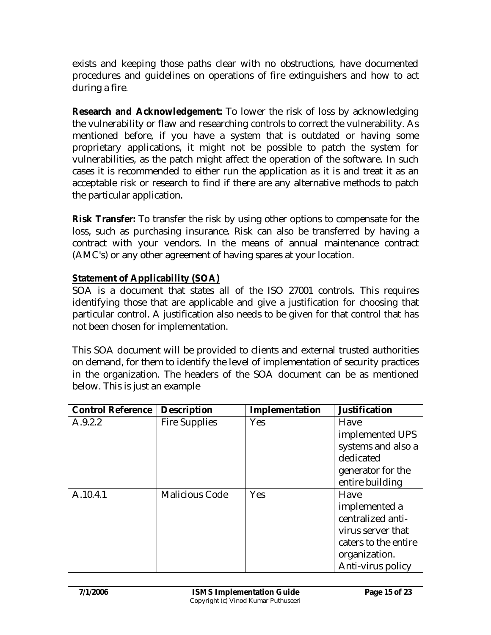exists and keeping those paths clear with no obstructions, have documented procedures and guidelines on operations of fire extinguishers and how to act during a fire.

**Research and Acknowledgement:** To lower the risk of loss by acknowledging the vulnerability or flaw and researching controls to correct the vulnerability. As mentioned before, if you have a system that is outdated or having some proprietary applications, it might not be possible to patch the system for vulnerabilities, as the patch might affect the operation of the software. In such cases it is recommended to either run the application as it is and treat it as an acceptable risk or research to find if there are any alternative methods to patch the particular application.

**Risk Transfer:** To transfer the risk by using other options to compensate for the loss, such as purchasing insurance. Risk can also be transferred by having a contract with your vendors. In the means of annual maintenance contract (AMC's) or any other agreement of having spares at your location.

### **Statement of Applicability (SOA)**

SOA is a document that states all of the ISO 27001 controls. This requires identifying those that are applicable and give a justification for choosing that particular control. A justification also needs to be given for that control that has not been chosen for implementation.

This SOA document will be provided to clients and external trusted authorities on demand, for them to identify the level of implementation of security practices in the organization. The headers of the SOA document can be as mentioned below. This is just an example

| <b>Control Reference</b> | Description           | Implementation | Justification        |
|--------------------------|-----------------------|----------------|----------------------|
| A.9.2.2                  | Fire Supplies         | Yes            | Have                 |
|                          |                       |                | implemented UPS      |
|                          |                       |                | systems and also a   |
|                          |                       |                | dedicated            |
|                          |                       |                | generator for the    |
|                          |                       |                | entire building      |
| A.10.4.1                 | <b>Malicious Code</b> | Yes            | Have                 |
|                          |                       |                | implemented a        |
|                          |                       |                | centralized anti-    |
|                          |                       |                | virus server that    |
|                          |                       |                | caters to the entire |
|                          |                       |                | organization.        |
|                          |                       |                | Anti-virus policy    |

| 7/1/2006 | <b>ISMS Implementation Guide</b>     | Page 15 of 23 |
|----------|--------------------------------------|---------------|
|          | Copyright (c) Vinod Kumar Puthuseeri |               |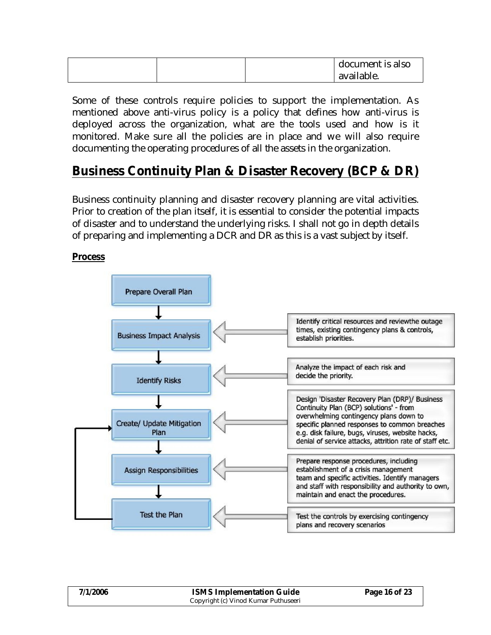|  | document is also |
|--|------------------|
|  | available.       |

Some of these controls require policies to support the implementation. As mentioned above anti-virus policy is a policy that defines how anti-virus is deployed across the organization, what are the tools used and how is it monitored. Make sure all the policies are in place and we will also require documenting the operating procedures of all the assets in the organization.

# **Business Continuity Plan & Disaster Recovery (BCP & DR)**

Business continuity planning and disaster recovery planning are vital activities. Prior to creation of the plan itself, it is essential to consider the potential impacts of disaster and to understand the underlying risks. I shall not go in depth details of preparing and implementing a DCR and DR as this is a vast subject by itself.

#### **Process**



| 7/1/2006 | <b>ISMS Implementation Guide</b>     | Page 16 of 23 |
|----------|--------------------------------------|---------------|
|          | Copyright (c) Vinod Kumar Puthuseeri |               |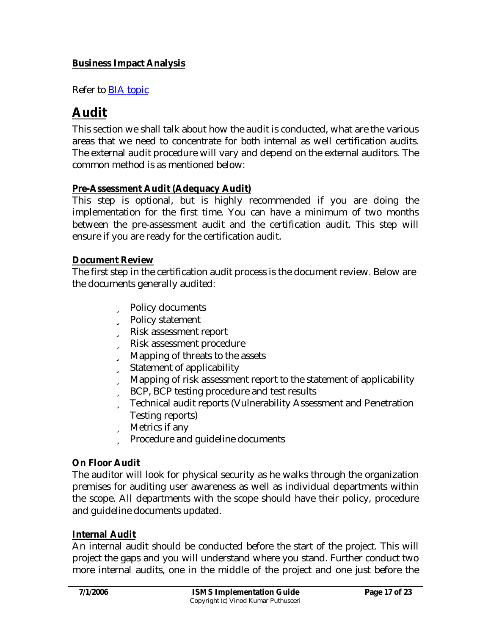### **Business Impact Analysis**

Refer to BIA topic

# **Audit**

This section we shall talk about how the audit is conducted, what are the various areas that we need to concentrate for both internal as well certification audits. The external audit procedure will vary and depend on the external auditors. The common method is as mentioned below:

#### **Pre-Assessment Audit (Adequacy Audit)**

This step is optional, but is highly recommended if you are doing the implementation for the first time. You can have a minimum of two months between the pre-assessment audit and the certification audit. This step will ensure if you are ready for the certification audit.

#### **Document Review**

The first step in the certification audit process is the document review. Below are the documents generally audited:

- ü Policy documents
- ü Policy statement
- ü Risk assessment report
- ü Risk assessment procedure
- ü Mapping of threats to the assets
- ü Statement of applicability
- ü Mapping of risk assessment report to the statement of applicability
- ü BCP, BCP testing procedure and test results
- ü Technical audit reports (Vulnerability Assessment and Penetration Testing reports)
- ü Metrics if any
- ü Procedure and guideline documents

#### **On Floor Audit**

The auditor will look for physical security as he walks through the organization premises for auditing user awareness as well as individual departments within the scope. All departments with the scope should have their policy, procedure and guideline documents updated.

#### **Internal Audit**

An internal audit should be conducted before the start of the project. This will project the gaps and you will understand where you stand. Further conduct two more internal audits, one in the middle of the project and one just before the

| 7/1/2006 | <b>ISMS Implementation Guide</b>     | Page 17 of 23 |
|----------|--------------------------------------|---------------|
|          | Copyright (c) Vinod Kumar Puthuseeri |               |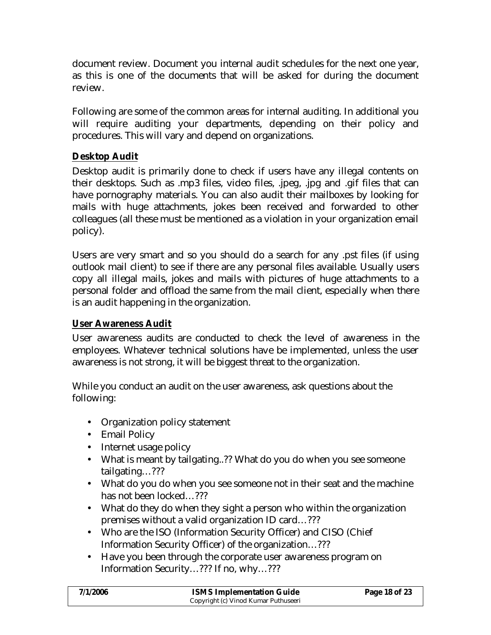document review. Document you internal audit schedules for the next one year, as this is one of the documents that will be asked for during the document review.

Following are some of the common areas for internal auditing. In additional you will require auditing your departments, depending on their policy and procedures. This will vary and depend on organizations.

### **Desktop Audit**

Desktop audit is primarily done to check if users have any illegal contents on their desktops. Such as .mp3 files, video files, .jpeg, .jpg and .gif files that can have pornography materials. You can also audit their mailboxes by looking for mails with huge attachments, jokes been received and forwarded to other colleagues (all these must be mentioned as a violation in your organization email policy).

Users are very smart and so you should do a search for any .pst files (if using outlook mail client) to see if there are any personal files available. Usually users copy all illegal mails, jokes and mails with pictures of huge attachments to a personal folder and offload the same from the mail client, especially when there is an audit happening in the organization.

#### **User Awareness Audit**

User awareness audits are conducted to check the level of awareness in the employees. Whatever technical solutions have be implemented, unless the user awareness is not strong, it will be biggest threat to the organization.

While you conduct an audit on the user awareness, ask questions about the following:

- Organization policy statement
- Email Policy
- Internet usage policy
- What is meant by tailgating..?? What do you do when you see someone tailgating…???
- What do you do when you see someone not in their seat and the machine has not been locked...???
- What do they do when they sight a person who within the organization premises without a valid organization ID card…???
- Who are the ISO (Information Security Officer) and CISO (Chief Information Security Officer) of the organization…???
- Have you been through the corporate user awareness program on Information Security…??? If no, why…???

| 7/1/2006 | <b>ISMS Implementation Guide</b>     | Page 18 of 23 |
|----------|--------------------------------------|---------------|
|          | Copyright (c) Vinod Kumar Puthuseeri |               |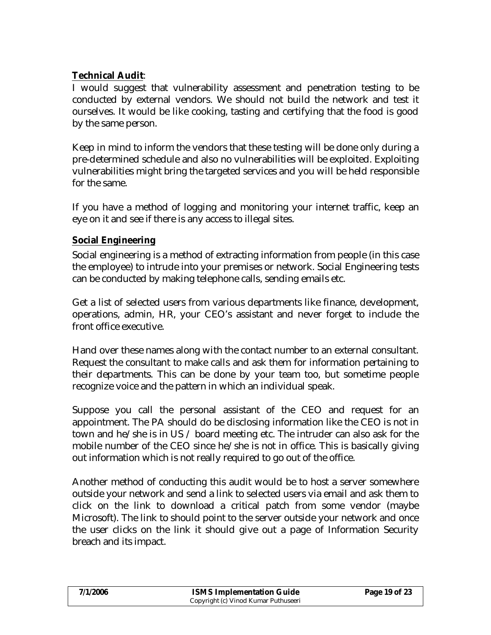### **Technical Audit**:

I would suggest that vulnerability assessment and penetration testing to be conducted by external vendors. We should not build the network and test it ourselves. It would be like cooking, tasting and certifying that the food is good by the same person.

Keep in mind to inform the vendors that these testing will be done only during a pre-determined schedule and also no vulnerabilities will be exploited. Exploiting vulnerabilities might bring the targeted services and you will be held responsible for the same.

If you have a method of logging and monitoring your internet traffic, keep an eye on it and see if there is any access to illegal sites.

### **Social Engineering**

Social engineering is a method of extracting information from people (in this case the employee) to intrude into your premises or network. Social Engineering tests can be conducted by making telephone calls, sending emails etc.

Get a list of selected users from various departments like finance, development, operations, admin, HR, your CEO's assistant and never forget to include the front office executive.

Hand over these names along with the contact number to an external consultant. Request the consultant to make calls and ask them for information pertaining to their departments. This can be done by your team too, but sometime people recognize voice and the pattern in which an individual speak.

Suppose you call the personal assistant of the CEO and request for an appointment. The PA should do be disclosing information like the CEO is not in town and he/she is in US / board meeting etc. The intruder can also ask for the mobile number of the CEO since he/she is not in office. This is basically giving out information which is not really required to go out of the office.

Another method of conducting this audit would be to host a server somewhere outside your network and send a link to selected users via email and ask them to click on the link to download a critical patch from some vendor (maybe Microsoft). The link to should point to the server outside your network and once the user clicks on the link it should give out a page of Information Security breach and its impact.

| 7/1/2006 | <b>ISMS Implementation Guide</b>     | Page 19 of 23 |
|----------|--------------------------------------|---------------|
|          | Copyright (c) Vinod Kumar Puthuseeri |               |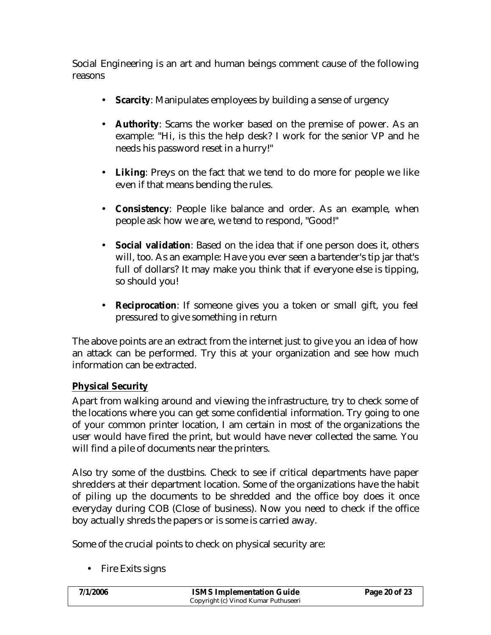Social Engineering is an art and human beings comment cause of the following reasons

- **Scarcity**: Manipulates employees by building a sense of urgency
- **Authority**: Scams the worker based on the premise of power. As an example: "Hi, is this the help desk? I work for the senior VP and he needs his password reset in a hurry!"
- **Liking**: Preys on the fact that we tend to do more for people we like even if that means bending the rules.
- **Consistency**: People like balance and order. As an example, when people ask how we are, we tend to respond, "Good!"
- **Social validation**: Based on the idea that if one person does it, others will, too. As an example: Have you ever seen a bartender's tip jar that's full of dollars? It may make you think that if everyone else is tipping, so should you!
- **Reciprocation**: If someone gives you a token or small gift, you feel pressured to give something in return

The above points are an extract from the internet just to give you an idea of how an attack can be performed. Try this at your organization and see how much information can be extracted.

### **Physical Security**

Apart from walking around and viewing the infrastructure, try to check some of the locations where you can get some confidential information. Try going to one of your common printer location, I am certain in most of the organizations the user would have fired the print, but would have never collected the same. You will find a pile of documents near the printers.

Also try some of the dustbins. Check to see if critical departments have paper shredders at their department location. Some of the organizations have the habit of piling up the documents to be shredded and the office boy does it once everyday during COB (Close of business). Now you need to check if the office boy actually shreds the papers or is some is carried away.

Some of the crucial points to check on physical security are:

• Fire Exits signs

| 7/1/2006 | <b>ISMS Implementation Guide</b>     | Page 20 of 23 |
|----------|--------------------------------------|---------------|
|          | Copyright (c) Vinod Kumar Puthuseeri |               |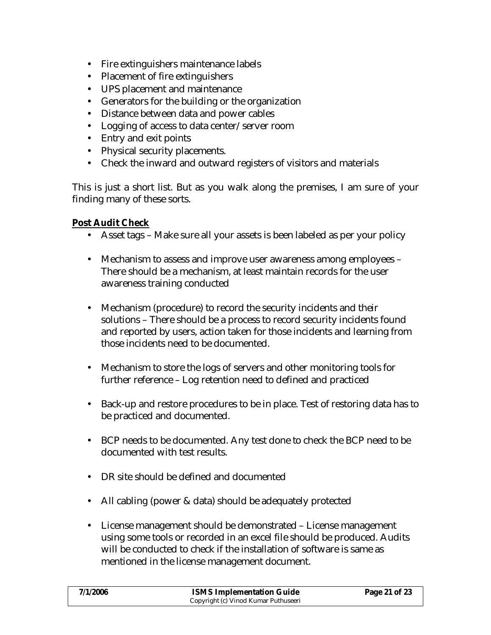- Fire extinguishers maintenance labels
- Placement of fire extinguishers
- UPS placement and maintenance
- Generators for the building or the organization
- Distance between data and power cables
- Logging of access to data center/server room
- Entry and exit points
- Physical security placements.
- Check the inward and outward registers of visitors and materials

This is just a short list. But as you walk along the premises, I am sure of your finding many of these sorts.

**Post Audit Check**

- Asset tags Make sure all your assets is been labeled as per your policy
- Mechanism to assess and improve user awareness among employees There should be a mechanism, at least maintain records for the user awareness training conducted
- Mechanism (procedure) to record the security incidents and their solutions – There should be a process to record security incidents found and reported by users, action taken for those incidents and learning from those incidents need to be documented.
- Mechanism to store the logs of servers and other monitoring tools for further reference – Log retention need to defined and practiced
- Back-up and restore procedures to be in place. Test of restoring data has to be practiced and documented.
- BCP needs to be documented. Any test done to check the BCP need to be documented with test results.
- DR site should be defined and documented
- All cabling (power & data) should be adequately protected
- License management should be demonstrated License management using some tools or recorded in an excel file should be produced. Audits will be conducted to check if the installation of software is same as mentioned in the license management document.

| 7/1/2006 | <b>ISMS Implementation Guide</b>     | Page 21 of 23 |
|----------|--------------------------------------|---------------|
|          | Copyright (c) Vinod Kumar Puthuseeri |               |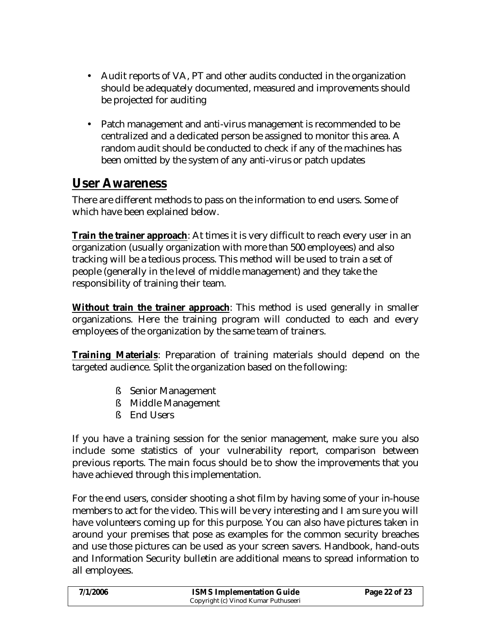- Audit reports of VA, PT and other audits conducted in the organization should be adequately documented, measured and improvements should be projected for auditing
- Patch management and anti-virus management is recommended to be centralized and a dedicated person be assigned to monitor this area. A random audit should be conducted to check if any of the machines has been omitted by the system of any anti-virus or patch updates

# **User Awareness**

There are different methods to pass on the information to end users. Some of which have been explained below.

**Train the trainer approach**: At times it is very difficult to reach every user in an organization (usually organization with more than 500 employees) and also tracking will be a tedious process. This method will be used to train a set of people (generally in the level of middle management) and they take the responsibility of training their team.

**Without train the trainer approach**: This method is used generally in smaller organizations. Here the training program will conducted to each and every employees of the organization by the same team of trainers.

**Training Materials**: Preparation of training materials should depend on the targeted audience. Split the organization based on the following:

- § Senior Management
- § Middle Management
- § End Users

If you have a training session for the senior management, make sure you also include some statistics of your vulnerability report, comparison between previous reports. The main focus should be to show the improvements that you have achieved through this implementation.

For the end users, consider shooting a shot film by having some of your in-house members to act for the video. This will be very interesting and I am sure you will have volunteers coming up for this purpose. You can also have pictures taken in around your premises that pose as examples for the common security breaches and use those pictures can be used as your screen savers. Handbook, hand-outs and Information Security bulletin are additional means to spread information to all employees.

| 7/1/2006 | <b>ISMS Implementation Guide</b>     | Page 22 of 23 |
|----------|--------------------------------------|---------------|
|          | Copyright (c) Vinod Kumar Puthuseeri |               |